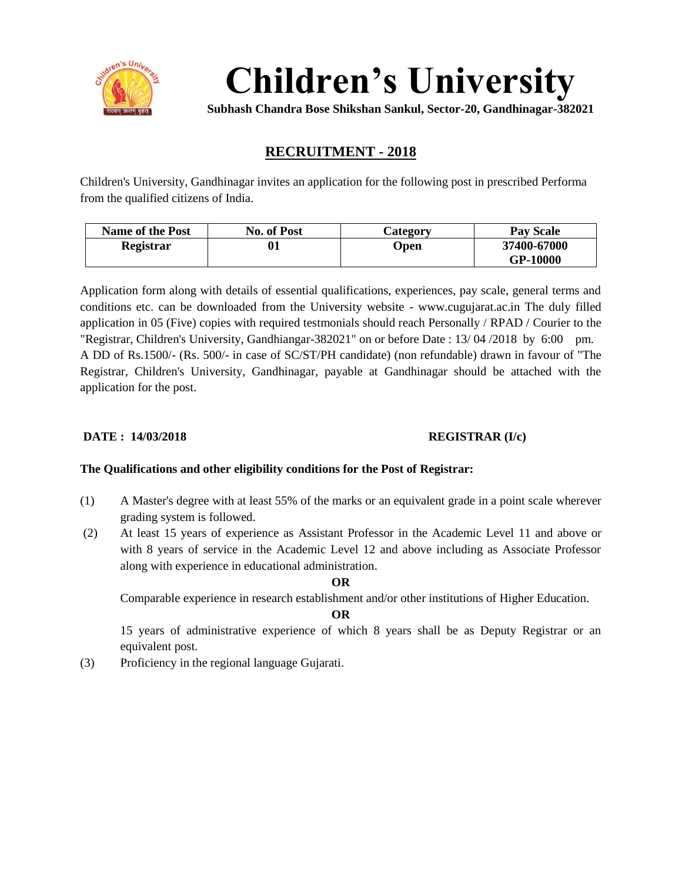

**Children's University**

**Subhash Chandra Bose Shikshan Sankul, Sector-20, Gandhinagar-382021**

## **RECRUITMENT - 2018**

Children's University, Gandhinagar invites an application for the following post in prescribed Performa from the qualified citizens of India.

| <b>Name of the Post</b> | <b>No. of Post</b> | Category | <b>Pay Scale</b> |  |  |
|-------------------------|--------------------|----------|------------------|--|--|
| Registrar               |                    | Open     | 37400-67000      |  |  |
|                         |                    |          | GP-10000         |  |  |

Application form along with details of essential qualifications, experiences, pay scale, general terms and conditions etc. can be downloaded from the University website - www.cugujarat.ac.in The duly filled application in 05 (Five) copies with required testmonials should reach Personally / RPAD / Courier to the "Registrar, Children's University, Gandhiangar-382021" on or before Date : 13/ 04 /2018 by 6:00 pm. A DD of Rs.1500/- (Rs. 500/- in case of SC/ST/PH candidate) (non refundable) drawn in favour of "The Registrar, Children's University, Gandhinagar, payable at Gandhinagar should be attached with the application for the post.

#### **DATE :** 14/03/2018 **REGISTRAR** (I/c)

#### **The Qualifications and other eligibility conditions for the Post of Registrar:**

- (1) A Master's degree with at least 55% of the marks or an equivalent grade in a point scale wherever grading system is followed.
- (2) At least 15 years of experience as Assistant Professor in the Academic Level 11 and above or with 8 years of service in the Academic Level 12 and above including as Associate Professor along with experience in educational administration.

#### **OR**

Comparable experience in research establishment and/or other institutions of Higher Education.

#### **OR**

15 years of administrative experience of which 8 years shall be as Deputy Registrar or an equivalent post.

(3) Proficiency in the regional language Gujarati.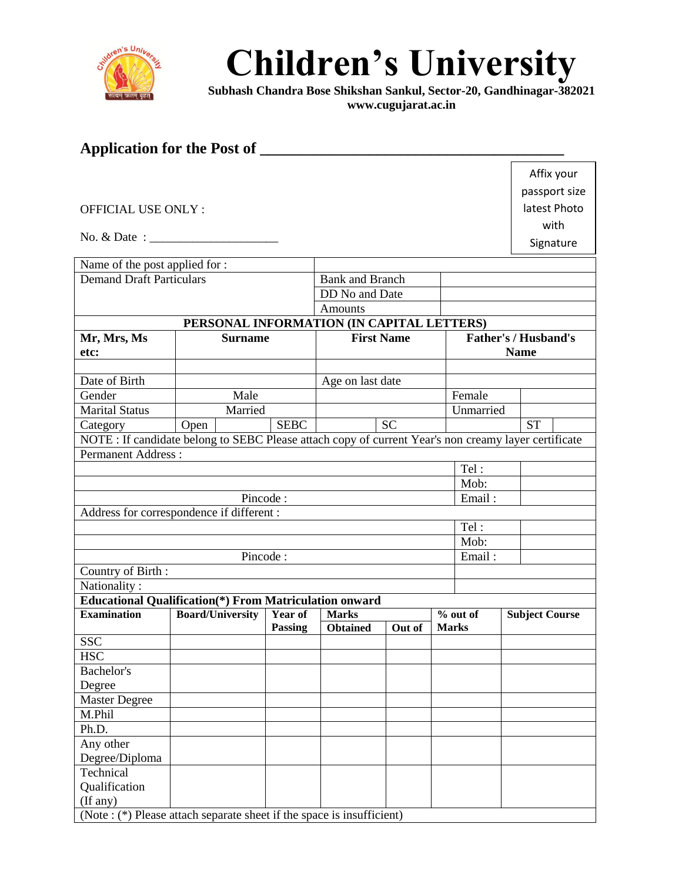

# **Children's University**

**Subhash Chandra Bose Shikshan Sankul, Sector-20, Gandhinagar-382021 www.cugujarat.ac.in**

| Application for the Post of                                                                                  |                                                                |             |                        |           |              |                             |              |                       |  |
|--------------------------------------------------------------------------------------------------------------|----------------------------------------------------------------|-------------|------------------------|-----------|--------------|-----------------------------|--------------|-----------------------|--|
|                                                                                                              |                                                                |             |                        |           |              |                             |              | Affix your            |  |
|                                                                                                              |                                                                |             |                        |           |              |                             |              | passport size         |  |
|                                                                                                              |                                                                |             |                        |           |              |                             |              |                       |  |
| <b>OFFICIAL USE ONLY:</b>                                                                                    |                                                                |             |                        |           |              |                             | latest Photo |                       |  |
|                                                                                                              |                                                                |             |                        |           |              | with                        |              |                       |  |
| No. $\&$ Date : $\qquad \qquad$                                                                              |                                                                |             |                        |           |              |                             | Signature    |                       |  |
| Name of the post applied for :                                                                               |                                                                |             |                        |           |              |                             |              |                       |  |
| <b>Demand Draft Particulars</b>                                                                              |                                                                |             | <b>Bank and Branch</b> |           |              |                             |              |                       |  |
|                                                                                                              |                                                                |             | DD No and Date         |           |              |                             |              |                       |  |
|                                                                                                              |                                                                |             | <b>Amounts</b>         |           |              |                             |              |                       |  |
|                                                                                                              | PERSONAL INFORMATION (IN CAPITAL LETTERS)                      |             |                        |           |              |                             |              |                       |  |
| Mr, Mrs, Ms                                                                                                  | <b>Surname</b>                                                 |             | <b>First Name</b>      |           |              | <b>Father's / Husband's</b> |              |                       |  |
| etc:                                                                                                         |                                                                |             |                        |           |              | <b>Name</b>                 |              |                       |  |
| Date of Birth                                                                                                |                                                                |             |                        |           |              |                             |              |                       |  |
| Gender                                                                                                       | Male                                                           |             | Age on last date       |           |              | Female                      |              |                       |  |
| <b>Marital Status</b>                                                                                        | Married                                                        |             |                        |           |              | Unmarried                   |              |                       |  |
| Category                                                                                                     |                                                                | <b>SEBC</b> |                        | <b>SC</b> |              |                             |              | <b>ST</b>             |  |
| Open<br>NOTE : If candidate belong to SEBC Please attach copy of current Year's non creamy layer certificate |                                                                |             |                        |           |              |                             |              |                       |  |
| <b>Permanent Address:</b>                                                                                    |                                                                |             |                        |           |              |                             |              |                       |  |
|                                                                                                              |                                                                |             |                        |           |              | Tel:                        |              |                       |  |
|                                                                                                              |                                                                |             |                        |           |              | Mob:                        |              |                       |  |
| Pincode:<br>Email:                                                                                           |                                                                |             |                        |           |              |                             |              |                       |  |
| Address for correspondence if different :                                                                    |                                                                |             |                        |           |              |                             |              |                       |  |
|                                                                                                              |                                                                |             |                        |           |              | Tel:                        |              |                       |  |
|                                                                                                              |                                                                |             |                        |           |              | Mob:                        |              |                       |  |
| Pincode:                                                                                                     |                                                                |             |                        |           |              | Email:                      |              |                       |  |
| Country of Birth:                                                                                            |                                                                |             |                        |           |              |                             |              |                       |  |
| Nationality:                                                                                                 |                                                                |             |                        |           |              |                             |              |                       |  |
|                                                                                                              | <b>Educational Qualification</b> (*) From Matriculation onward |             |                        |           |              |                             |              |                       |  |
| <b>Examination</b>                                                                                           | <b>Board/University</b>                                        | Year of     | <b>Marks</b>           |           |              | % out of                    |              | <b>Subject Course</b> |  |
| <b>SSC</b>                                                                                                   |                                                                | Passing     | <b>Obtained</b>        | Out of    | <b>Marks</b> |                             |              |                       |  |
| <b>HSC</b>                                                                                                   |                                                                |             |                        |           |              |                             |              |                       |  |
| Bachelor's                                                                                                   |                                                                |             |                        |           |              |                             |              |                       |  |
| Degree                                                                                                       |                                                                |             |                        |           |              |                             |              |                       |  |
| Master Degree                                                                                                |                                                                |             |                        |           |              |                             |              |                       |  |
| M.Phil                                                                                                       |                                                                |             |                        |           |              |                             |              |                       |  |
| Ph.D.                                                                                                        |                                                                |             |                        |           |              |                             |              |                       |  |
| Any other                                                                                                    |                                                                |             |                        |           |              |                             |              |                       |  |
| Degree/Diploma                                                                                               |                                                                |             |                        |           |              |                             |              |                       |  |
| Technical                                                                                                    |                                                                |             |                        |           |              |                             |              |                       |  |
| Qualification                                                                                                |                                                                |             |                        |           |              |                             |              |                       |  |
| (If any)                                                                                                     |                                                                |             |                        |           |              |                             |              |                       |  |
| (Note : (*) Please attach separate sheet if the space is insufficient)                                       |                                                                |             |                        |           |              |                             |              |                       |  |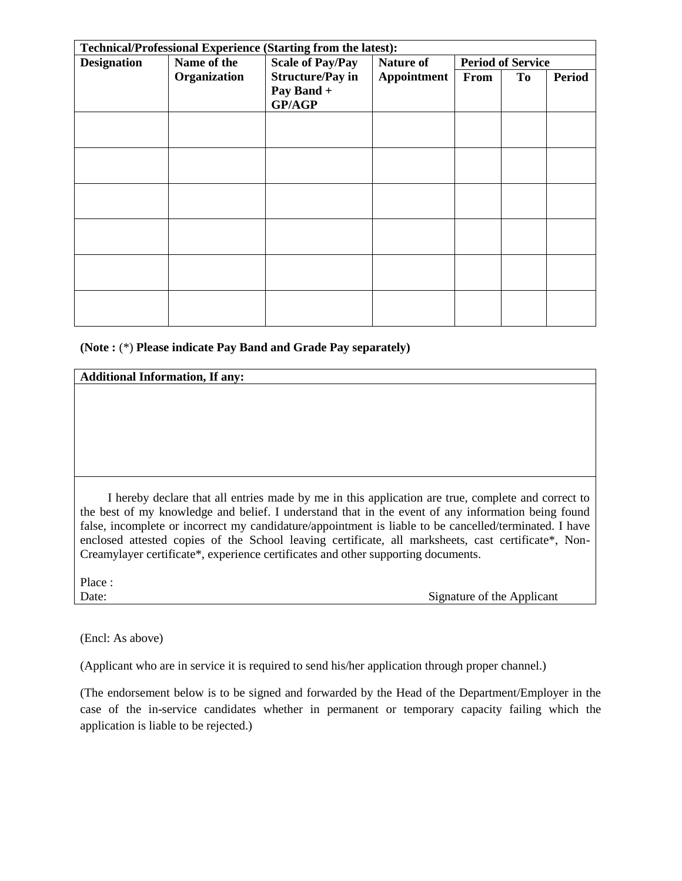| <b>Technical/Professional Experience (Starting from the latest):</b> |              |                                                 |                                 |                          |                |               |  |
|----------------------------------------------------------------------|--------------|-------------------------------------------------|---------------------------------|--------------------------|----------------|---------------|--|
| <b>Designation</b>                                                   | Name of the  | <b>Scale of Pay/Pay</b>                         | <b>Nature of</b><br>Appointment | <b>Period of Service</b> |                |               |  |
|                                                                      | Organization | <b>Structure/Pay in</b><br>Pay Band +<br>GP/AGP |                                 | From                     | T <sub>0</sub> | <b>Period</b> |  |
|                                                                      |              |                                                 |                                 |                          |                |               |  |
|                                                                      |              |                                                 |                                 |                          |                |               |  |
|                                                                      |              |                                                 |                                 |                          |                |               |  |
|                                                                      |              |                                                 |                                 |                          |                |               |  |
|                                                                      |              |                                                 |                                 |                          |                |               |  |
|                                                                      |              |                                                 |                                 |                          |                |               |  |

#### **(Note :** (\*) **Please indicate Pay Band and Grade Pay separately)**

#### **Additional Information, If any:**

 I hereby declare that all entries made by me in this application are true, complete and correct to the best of my knowledge and belief. I understand that in the event of any information being found false, incomplete or incorrect my candidature/appointment is liable to be cancelled/terminated. I have enclosed attested copies of the School leaving certificate, all marksheets, cast certificate\*, Non-Creamylayer certificate\*, experience certificates and other supporting documents.

Place :

Date: Signature of the Applicant

(Encl: As above)

(Applicant who are in service it is required to send his/her application through proper channel.)

(The endorsement below is to be signed and forwarded by the Head of the Department/Employer in the case of the in-service candidates whether in permanent or temporary capacity failing which the application is liable to be rejected.)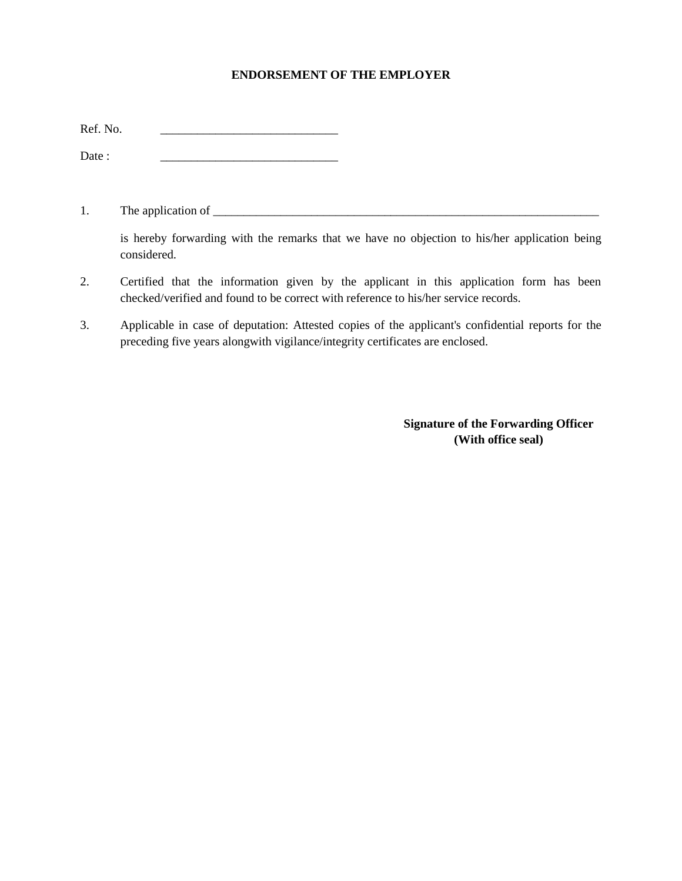#### **ENDORSEMENT OF THE EMPLOYER**

Date : \_\_\_\_\_\_\_\_\_\_\_\_\_\_\_\_\_\_\_\_\_\_\_\_\_\_\_\_\_

1. The application of \_\_\_\_\_\_\_\_\_\_\_\_\_\_\_\_\_\_\_\_\_\_\_\_\_\_\_\_\_\_\_\_\_\_\_\_\_\_\_\_\_\_\_\_\_\_\_\_\_\_\_\_\_\_\_\_\_\_\_\_\_\_\_

is hereby forwarding with the remarks that we have no objection to his/her application being considered.

- 2. Certified that the information given by the applicant in this application form has been checked/verified and found to be correct with reference to his/her service records.
- 3. Applicable in case of deputation: Attested copies of the applicant's confidential reports for the preceding five years alongwith vigilance/integrity certificates are enclosed.

**Signature of the Forwarding Officer (With office seal)**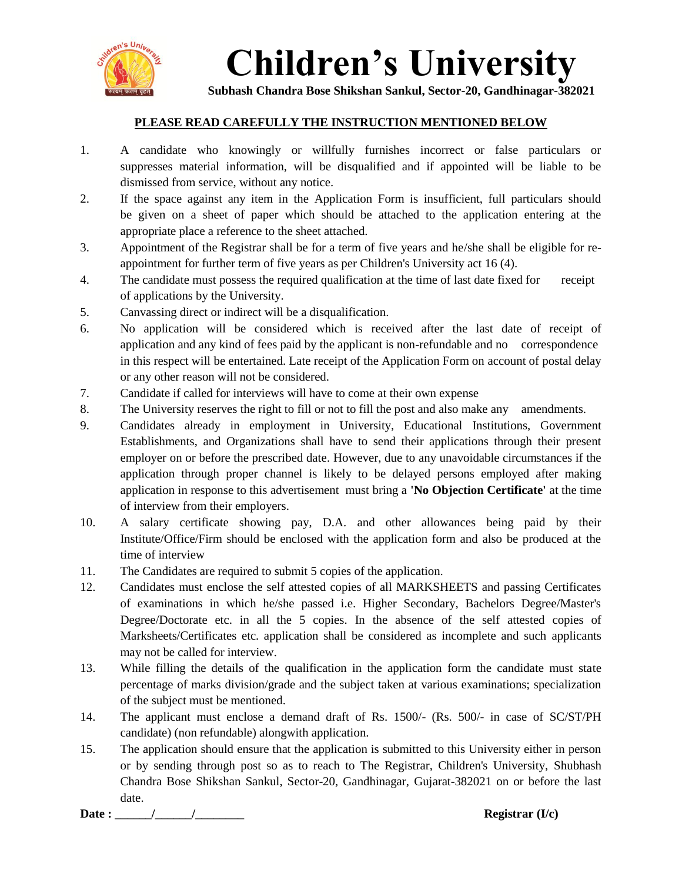

# **Children's University**

**Subhash Chandra Bose Shikshan Sankul, Sector-20, Gandhinagar-382021**

### **PLEASE READ CAREFULLY THE INSTRUCTION MENTIONED BELOW**

- 1. A candidate who knowingly or willfully furnishes incorrect or false particulars or suppresses material information, will be disqualified and if appointed will be liable to be dismissed from service, without any notice.
- 2. If the space against any item in the Application Form is insufficient, full particulars should be given on a sheet of paper which should be attached to the application entering at the appropriate place a reference to the sheet attached.
- 3. Appointment of the Registrar shall be for a term of five years and he/she shall be eligible for reappointment for further term of five years as per Children's University act 16 (4).
- 4. The candidate must possess the required qualification at the time of last date fixed for receipt of applications by the University.
- 5. Canvassing direct or indirect will be a disqualification.
- 6. No application will be considered which is received after the last date of receipt of application and any kind of fees paid by the applicant is non-refundable and no correspondence in this respect will be entertained. Late receipt of the Application Form on account of postal delay or any other reason will not be considered.
- 7. Candidate if called for interviews will have to come at their own expense
- 8. The University reserves the right to fill or not to fill the post and also make any amendments.
- 9. Candidates already in employment in University, Educational Institutions, Government Establishments, and Organizations shall have to send their applications through their present employer on or before the prescribed date. However, due to any unavoidable circumstances if the application through proper channel is likely to be delayed persons employed after making application in response to this advertisement must bring a **'No Objection Certificate'** at the time of interview from their employers.
- 10. A salary certificate showing pay, D.A. and other allowances being paid by their Institute/Office/Firm should be enclosed with the application form and also be produced at the time of interview
- 11. The Candidates are required to submit 5 copies of the application.
- 12. Candidates must enclose the self attested copies of all MARKSHEETS and passing Certificates of examinations in which he/she passed i.e. Higher Secondary, Bachelors Degree/Master's Degree/Doctorate etc. in all the 5 copies. In the absence of the self attested copies of Marksheets/Certificates etc. application shall be considered as incomplete and such applicants may not be called for interview.
- 13. While filling the details of the qualification in the application form the candidate must state percentage of marks division/grade and the subject taken at various examinations; specialization of the subject must be mentioned.
- 14. The applicant must enclose a demand draft of Rs. 1500/- (Rs. 500/- in case of SC/ST/PH candidate) (non refundable) alongwith application.
- 15. The application should ensure that the application is submitted to this University either in person or by sending through post so as to reach to The Registrar, Children's University, Shubhash Chandra Bose Shikshan Sankul, Sector-20, Gandhinagar, Gujarat-382021 on or before the last date.

**Date : \_\_\_\_\_\_/\_\_\_\_\_\_/\_\_\_\_\_\_\_\_ Registrar (I/c)**